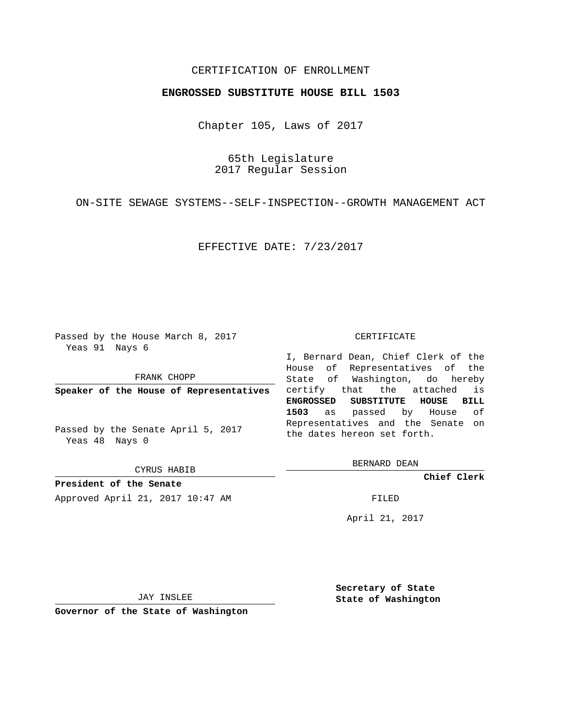## CERTIFICATION OF ENROLLMENT

## **ENGROSSED SUBSTITUTE HOUSE BILL 1503**

Chapter 105, Laws of 2017

65th Legislature 2017 Regular Session

ON-SITE SEWAGE SYSTEMS--SELF-INSPECTION--GROWTH MANAGEMENT ACT

EFFECTIVE DATE: 7/23/2017

Passed by the House March 8, 2017 Yeas 91 Nays 6

FRANK CHOPP

**Speaker of the House of Representatives**

Passed by the Senate April 5, 2017 Yeas 48 Nays 0

CYRUS HABIB

**President of the Senate** Approved April 21, 2017 10:47 AM FILED

## CERTIFICATE

I, Bernard Dean, Chief Clerk of the House of Representatives of the State of Washington, do hereby certify that the attached is **ENGROSSED SUBSTITUTE HOUSE BILL 1503** as passed by House of Representatives and the Senate on the dates hereon set forth.

BERNARD DEAN

**Chief Clerk**

April 21, 2017

JAY INSLEE

**Governor of the State of Washington**

**Secretary of State State of Washington**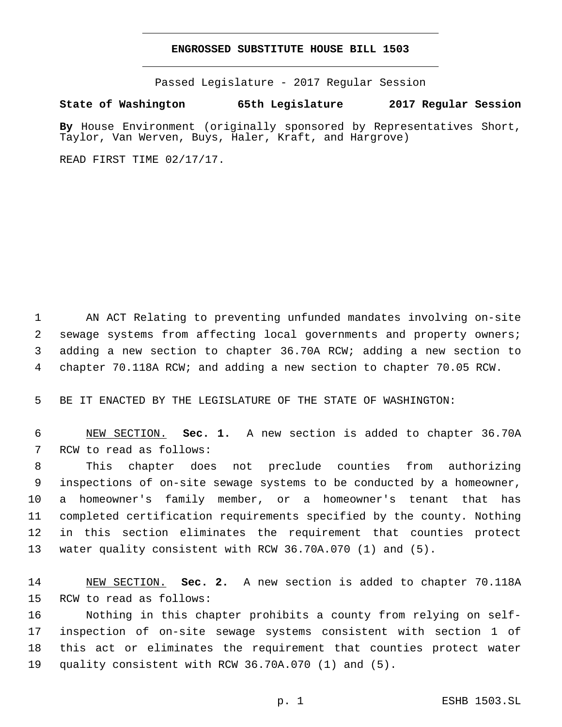## **ENGROSSED SUBSTITUTE HOUSE BILL 1503**

Passed Legislature - 2017 Regular Session

**State of Washington 65th Legislature 2017 Regular Session**

**By** House Environment (originally sponsored by Representatives Short, Taylor, Van Werven, Buys, Haler, Kraft, and Hargrove)

READ FIRST TIME 02/17/17.

 AN ACT Relating to preventing unfunded mandates involving on-site sewage systems from affecting local governments and property owners; adding a new section to chapter 36.70A RCW; adding a new section to chapter 70.118A RCW; and adding a new section to chapter 70.05 RCW.

BE IT ENACTED BY THE LEGISLATURE OF THE STATE OF WASHINGTON:

 NEW SECTION. **Sec. 1.** A new section is added to chapter 36.70A 7 RCW to read as follows:

 This chapter does not preclude counties from authorizing inspections of on-site sewage systems to be conducted by a homeowner, a homeowner's family member, or a homeowner's tenant that has completed certification requirements specified by the county. Nothing in this section eliminates the requirement that counties protect water quality consistent with RCW 36.70A.070 (1) and (5).

 NEW SECTION. **Sec. 2.** A new section is added to chapter 70.118A 15 RCW to read as follows:

 Nothing in this chapter prohibits a county from relying on self- inspection of on-site sewage systems consistent with section 1 of this act or eliminates the requirement that counties protect water quality consistent with RCW 36.70A.070 (1) and (5).